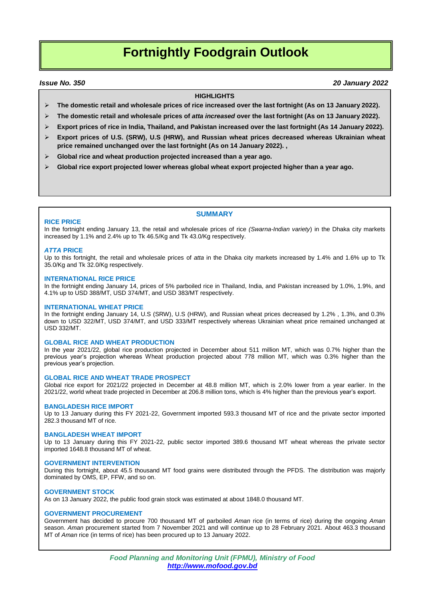# **Fortnightly Foodgrain Outlook**

# *Issue No. 350 20 January 2022*

#### **HIGHLIGHTS**

- **The domestic retail and wholesale prices of rice increased over the last fortnight (As on 13 January 2022).**
- **The domestic retail and wholesale prices of** *atta increased* **over the last fortnight (As on 13 January 2022).**
- **Export prices of rice in India, Thailand, and Pakistan increased over the last fortnight (As 14 January 2022).**
- **Export prices of U.S. (SRW), U.S (HRW), and Russian wheat prices decreased whereas Ukrainian wheat price remained unchanged over the last fortnight (As on 14 January 2022). ,**
- **Global rice and wheat production projected increased than a year ago.**
- **Global rice export projected lower whereas global wheat export projected higher than a year ago.**

# **RICE PRICE**

### **SUMMARY**

In the fortnight ending January 13, the retail and wholesale prices of rice *(Swarna-Indian variety*) in the Dhaka city markets increased by 1.1% and 2.4% up to Tk 46.5/Kg and Tk 43.0/Kg respectively.

#### *ATTA* **PRICE**

Up to this fortnight, the retail and wholesale prices of *atta* in the Dhaka city markets increased by 1.4% and 1.6% up to Tk 35.0/Kg and Tk 32.0/Kg respectively.

#### **INTERNATIONAL RICE PRICE**

In the fortnight ending January 14, prices of 5% parboiled rice in Thailand, India, and Pakistan increased by 1.0%, 1.9%, and 4.1% up to USD 388/MT, USD 374/MT, and USD 383/MT respectively.

#### **INTERNATIONAL WHEAT PRICE**

In the fortnight ending January 14, U.S (SRW), U.S (HRW), and Russian wheat prices decreased by 1.2% , 1.3%, and 0.3% down to USD 322/MT, USD 374/MT, and USD 333/MT respectively whereas Ukrainian wheat price remained unchanged at USD 332/MT.

#### **GLOBAL RICE AND WHEAT PRODUCTION**

In the year 2021/22, global rice production projected in December about 511 million MT, which was 0.7% higher than the previous year's projection whereas Wheat production projected about 778 million MT, which was 0.3% higher than the previous year's projection.

#### **GLOBAL RICE AND WHEAT TRADE PROSPECT**

Global rice export for 2021/22 projected in December at 48.8 million MT, which is 2.0% lower from a year earlier. In the 2021/22, world wheat trade projected in December at 206.8 million tons, which is 4% higher than the previous year's export.

#### **BANGLADESH RICE IMPORT**

Up to 13 January during this FY 2021-22, Government imported 593.3 thousand MT of rice and the private sector imported 282.3 thousand MT of rice.

#### **BANGLADESH WHEAT IMPORT**

Up to 13 January during this FY 2021-22, public sector imported 389.6 thousand MT wheat whereas the private sector imported 1648.8 thousand MT of wheat.

#### **GOVERNMENT INTERVENTION**

During this fortnight, about 45.5 thousand MT food grains were distributed through the PFDS. The distribution was majorly dominated by OMS, EP, FFW, and so on.

#### **GOVERNMENT STOCK**

As on 13 January 2022, the public food grain stock was estimated at about 1848.0 thousand MT.

#### **GOVERNMENT PROCUREMENT**

Government has decided to procure 700 thousand MT of parboiled *Aman* rice (in terms of rice) during the ongoing *Aman* season. *Aman* procurement started from 7 November 2021 and will continue up to 28 February 2021. About 463.3 thousand MT of *Aman* rice (in terms of rice) has been procured up to 13 January 2022.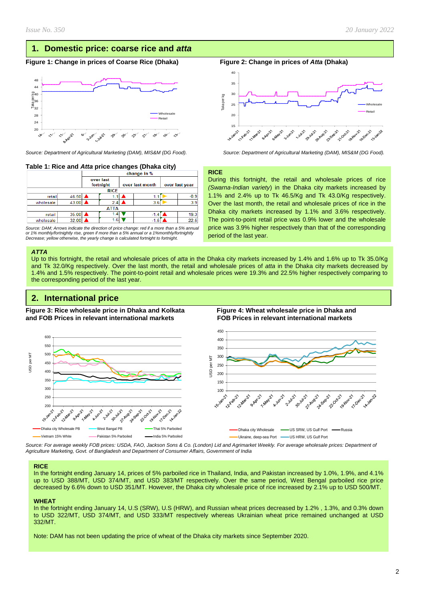# **1. Domestic price: coarse rice and** *atta*

# **Figure** 1: Change in prices of Coarse Rice (Dhaka) Figure 2: Change in prices of *Atta* (Dhaka)



*Source: Department of Agricultural Marketing (DAM), MIS&M (DG Food). Source: Department of Agricultural Marketing (DAM), MIS&M (DG Food).*

# **Table 1: Rice and** *Atta* **price changes (Dhaka city)**

|             |             | change in %            |     |                 |        |                |        |  |  |
|-------------|-------------|------------------------|-----|-----------------|--------|----------------|--------|--|--|
|             |             | over last<br>fortnight |     | over last month |        | over last year |        |  |  |
| <b>RICE</b> |             |                        |     |                 |        |                |        |  |  |
| retail      | 46.50       |                        |     |                 | Ί.     |                | $-0.9$ |  |  |
| wholesale   | 43.00       |                        | 2.4 |                 | 3.6    |                | 3.9    |  |  |
|             | <b>ATTA</b> |                        |     |                 |        |                |        |  |  |
| retail      | 35.00       |                        | 1.4 |                 | $-1.4$ |                | 19.3   |  |  |
| wholesale   | 32.00       |                        | 1.6 |                 | $-1.5$ |                | 22.5   |  |  |

*Source: DAM; Arrows indicate the direction of price change: red if a more than a 5% annual or 1% monthly/fortnightly rise, green if more than a 5% annual or a 1%monthly/fortnightly Decrease; yellow otherwise, the yearly change is calculated fortnight to fortnight.*

#### *ATTA*

Up to this fortnight, the retail and wholesale prices of *atta* in the Dhaka city markets increased by 1.4% and 1.6% up to Tk 35.0/Kg and Tk 32.0/Kg respectively. Over the last month, the retail and wholesale prices of *atta* in the Dhaka city markets decreased by 1.4% and 1.5% respectively. The point-to-point retail and wholesale prices were 19.3% and 22.5% higher respectively comparing to the corresponding period of the last year.

# **2. International price**

**Figure 3: Rice wholesale price in Dhaka and Kolkata Figure 4: Wheat wholesale price in Dhaka and and FOB Prices in relevant international markets FOB Prices in relevant international markets** 



*Source: For average weekly FOB prices: USDA, FAO, Jackson Sons & Co. (London) Lid and Agrimarket Weekly. For average wholesale prices: Department of Agriculture Marketing, Govt. of Bangladesh and Department of Consumer Affairs, Government of India*

#### **RICE**

In the fortnight ending January 14, prices of 5% parboiled rice in Thailand, India, and Pakistan increased by 1.0%, 1.9%, and 4.1% up to USD 388/MT, USD 374/MT, and USD 383/MT respectively. Over the same period, West Bengal parboiled rice price decreased by 6.6% down to USD 351/MT. However, the Dhaka city wholesale price of rice increased by 2.1% up to USD 500/MT.

#### **WHEAT**

In the fortnight ending January 14, U.S (SRW), U.S (HRW), and Russian wheat prices decreased by 1.2% , 1.3%, and 0.3% down to USD 322/MT, USD 374/MT, and USD 333/MT respectively whereas Ukrainian wheat price remained unchanged at USD 332/MT.

Note: DAM has not been updating the price of wheat of the Dhaka city markets since September 2020.



#### **RICE**

During this fortnight, the retail and wholesale prices of rice *(Swarna-Indian variety*) in the Dhaka city markets increased by 1.1% and 2.4% up to Tk 46.5/Kg and Tk 43.0/Kg respectively. Over the last month, the retail and wholesale prices of rice in the Dhaka city markets increased by 1.1% and 3.6% respectively. The point-to-point retail price was 0.9% lower and the wholesale price was 3.9% higher respectively than that of the corresponding period of the last year.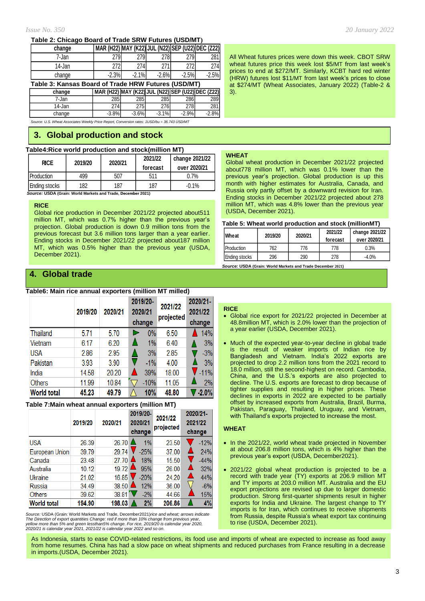#### **Table 2: Chicago Board of Trade SRW Futures (USD/MT)**

| change                                              | MAR (H22) MAY (K22) JUL (N22) SEP (U22) DEC (Z22) |         |            |         |         |  |  |  |
|-----------------------------------------------------|---------------------------------------------------|---------|------------|---------|---------|--|--|--|
| 7-Jan                                               | <b>2791</b>                                       | 279     | <b>278</b> | 2791    | 281     |  |  |  |
| 14-Jan                                              | <b>2721</b>                                       | 274     | 271        | 272     | 274     |  |  |  |
| change                                              | $-2.3%$                                           | $-2.1%$ | $-2.6%$    | $-2.5%$ | $-2.5%$ |  |  |  |
| Table 3: Kansas Board of Trade HRW Futures (USD/MT) |                                                   |         |            |         |         |  |  |  |
| change                                              | MAR (H22) MAY (K22) JUL (N22) SEP (U22) DEC (Z22) |         |            |         |         |  |  |  |
| 7-Jan                                               | 285                                               | 285     | 285        | 286     | 289I    |  |  |  |

14-Jan | 274**| 2**75| 276**| 278| 281**|

*Source: U.S. Wheat Associates Weekly Price Report, Conversion rates: 1USD/bu = 36.743 USD/MT* change -3.8% -3.6% -3.1% -2.9% -2.8% -2.8% -

# **3. Global production and stock**

#### **Table4:Rice world production and stock(million MT)**

| <b>RICE</b>       | 2019/20 | 2020/21 | 2021/22<br>forecast | change 2021/22<br>over 2020/21 |
|-------------------|---------|---------|---------------------|--------------------------------|
| <b>Production</b> | 499     | 507     | 511                 | 0.7%                           |
| Ending stocks     | 182     | 187     | 187                 | $-0.1\%$                       |

*Source:* **USDA (Grain: World Markets and Trade, December 2021)**

#### **RICE**

Global rice production in December 2021/22 projected about511 million MT, which was 0.7% higher than the previous year's projection. Global production is down 0.9 million tons from the previous forecast but 3.6 million tons larger than a year earlier. Ending stocks in December 2021/22 projected about187 million MT, which was 0.5% higher than the previous year (USDA, December 2021).

# **4. Global trade**

#### **Table6: Main rice annual exporters (million MT milled)**

|                    | 2019/20 | 2020/21 | 2019/20-<br>2020/21<br>change | 2021/22<br>projected | 2020/21-<br>2021/22<br>change |
|--------------------|---------|---------|-------------------------------|----------------------|-------------------------------|
| Thailand           | 5.71    | 5.70    | 0%                            | 6.50                 | 14%                           |
| Vietnam            | 6.17    | 6.20    | 1%                            | 6.40                 | 3%                            |
| <b>USA</b>         | 2.86    | 2.95    | 3%                            | 2.85                 | $-3%$                         |
| Pakistan           | 3.93    | 3.90    | $-1\%$                        | 4.00                 | 3%                            |
| India              | 14.58   | 20.20   | 39%                           | 18.00                | $-11%$                        |
| <b>Others</b>      | 11.99   | 10.84   | $-10%$                        | 11.05                | 2%                            |
| <b>World total</b> | 45.23   | 49.79   | 10%                           | 48.80                | $-2.0%$                       |

#### **Table 7:Main wheat annual exporters (million MT)**

|                    | 2019/20 | 2020/21 | 2019/20-<br>2020/21<br>change | 2021/22<br>projected | 2020/21-<br>2021/22<br>change |
|--------------------|---------|---------|-------------------------------|----------------------|-------------------------------|
| <b>USA</b>         | 26.39   | 26.70   | 1%                            | 23.50                | $-12%$                        |
| European Union     | 39.79   | 29.74   | $-25%$                        | 37.00                | 24%                           |
| Canada             | 23.48   | 27.70   | 18%                           | 15.50                | $-44%$                        |
| Australia          | 10.12   | 19.72   | 95%                           | 26.00                | 32%                           |
| Ukraine            | 21.02   | 16.85   | $-20%$                        | 24.20                | 44%                           |
| Russia             | 34.49   | 38.50   | 12%                           | 36.00                | $-6%$                         |
| <b>Others</b>      | 39.62   | 38.81   | $-2\%$                        | 44.66                | 15%                           |
| <b>World total</b> | 194.90  | 198.03  | 2%                            | 206.86               | 4%                            |

*Source:* USDA (Grain: World Markets and Trade, December2021)*rice and wheat; arrows indicate* The Direction of export quantities Change: red if more than 10% change from previous year,<br>yellow more than 5% and green lessthan5% change. For rice, 2019/20 is calendar year 2020,<br>2020/21 is calendar year 2021, 2021/22 is

All Wheat futures prices were down this week. CBOT SRW wheat futures price this week lost \$5/MT from last week's prices to end at \$272/MT. Similarly, KCBT hard red winter (HRW) futures lost \$11/MT from last week's prices to close at \$274/MT (Wheat Associates, January 2022) (Table-2 & 3).

#### **WHEAT**

Global wheat production in December 2021/22 projected about778 million MT, which was 0.1% lower than the previous year's projection. Global production is up this month with higher estimates for Australia, Canada, and Russia only partly offset by a downward revision for Iran. Ending stocks in December 2021/22 projected about 278 million MT, which was 4.8% lower than the previous year (USDA, December 2021).

#### **Table 5: Wheat world production and stock (millionMT)**

| Wheat             | 2019/20 | 2020/21 | 2021/22<br>forecast | change 2021/22<br>over 2020/21 |
|-------------------|---------|---------|---------------------|--------------------------------|
| <b>Production</b> | 762     | 776     | 778                 | 0.3%                           |
| Ending stocks     | 296     | 290     | 278                 | $-4.0%$                        |

*Source:* **USDA (Grain: World Markets and Trade December 2021)**

#### **RICE**

- Global rice export for 2021/22 projected in December at 48.8million MT, which is 2.0% lower than the projection of a year earlier (USDA, December 2021).
- Much of the expected year-to-year decline in global trade is the result of weaker imports of Indian rice by Bangladesh and Vietnam. India's 2022 exports are projected to drop 2.2 million tons from the 2021 record to 18.0 million, still the second-highest on record. Cambodia, China, and the U.S.'s exports are also projected to decline. The U.S. exports are forecast to drop because of tighter supplies and resulting in higher prices. These declines in exports in 2022 are expected to be partially offset by increased exports from Australia, Brazil, Burma, Pakistan, Paraguay, Thailand, Uruguay, and Vietnam, with Thailand's exports projected to increase the most.

#### **WHEAT**

- In the 2021/22, world wheat trade projected in November at about 206.8 million tons, which is 4% higher than the previous year's export (USDA, December2021).
- 2021/22 global wheat production is projected to be a record with trade year (TY) exports at 206.9 million MT and TY imports at 203.0 million MT. Australia and the EU export projections are revised up due to larger domestic production. Strong first-quarter shipments result in higher exports for India and Ukraine. The largest change to TY imports is for Iran, which continues to receive shipments from Russia, despite Russia's wheat export tax continuing to rise (USDA, December 2021).

As Indonesia, starts to ease COVID-related restrictions, its food use and imports of wheat are expected to increase as food away from home resumes. China has had a slow pace on wheat shipments and reduced purchases from France resulting in a decrease in imports.(USDA, December 2021).